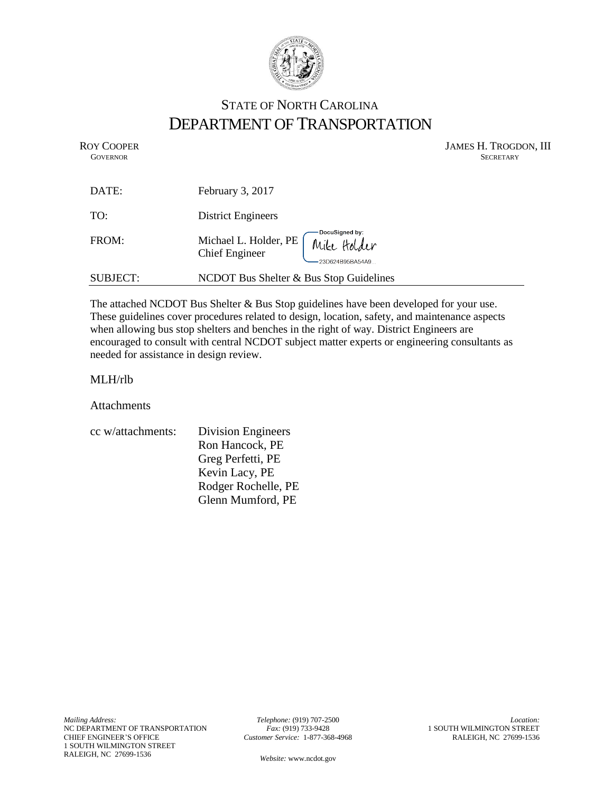

## STATE OF NORTH CAROLINA DEPARTMENT OF TRANSPORTATION

ROY COOPER JAMES H. TROGDON, III<br>GOVERNOR SECRETARY SECRETARY **GOVERNOR** SECRETARY

| DATE:    | February 3, 2017                                                              |
|----------|-------------------------------------------------------------------------------|
| TO:      | <b>District Engineers</b>                                                     |
| FROM:    | Michael L. Holder, PE Mike Holder<br><b>Chief Engineer</b><br>23D624B95BA54A9 |
| SUBJECT: | NCDOT Bus Shelter & Bus Stop Guidelines                                       |

The attached NCDOT Bus Shelter & Bus Stop guidelines have been developed for your use. These guidelines cover procedures related to design, location, safety, and maintenance aspects when allowing bus stop shelters and benches in the right of way. District Engineers are encouraged to consult with central NCDOT subject matter experts or engineering consultants as needed for assistance in design review.

## MLH/rlb

Attachments

| cc w/attachments: | <b>Division Engineers</b> |
|-------------------|---------------------------|
|                   | Ron Hancock, PE           |
|                   | Greg Perfetti, PE         |
|                   | Kevin Lacy, PE            |
|                   | Rodger Rochelle, PE       |
|                   | Glenn Mumford, PE         |
|                   |                           |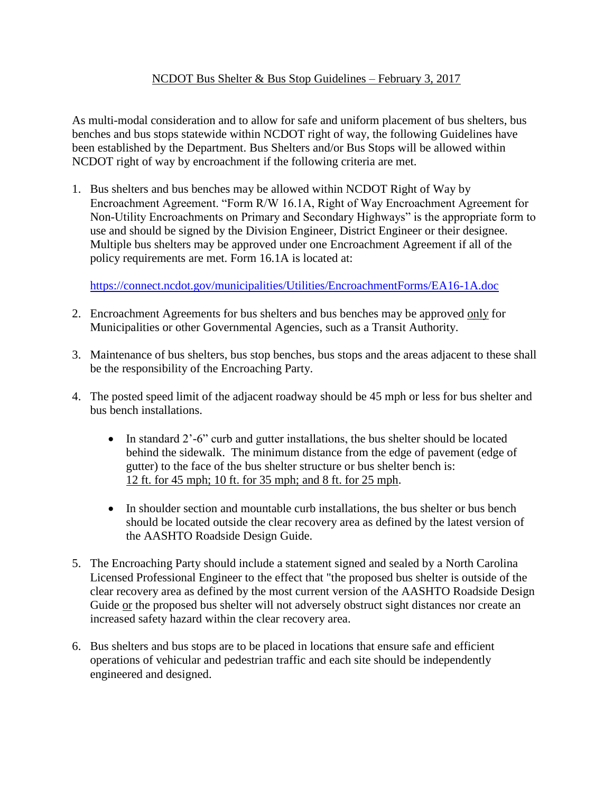## NCDOT Bus Shelter & Bus Stop Guidelines – February 3, 2017

As multi-modal consideration and to allow for safe and uniform placement of bus shelters, bus benches and bus stops statewide within NCDOT right of way, the following Guidelines have been established by the Department. Bus Shelters and/or Bus Stops will be allowed within NCDOT right of way by encroachment if the following criteria are met.

1. Bus shelters and bus benches may be allowed within NCDOT Right of Way by Encroachment Agreement. "Form R/W 16.1A, Right of Way Encroachment Agreement for Non-Utility Encroachments on Primary and Secondary Highways" is the appropriate form to use and should be signed by the Division Engineer, District Engineer or their designee. Multiple bus shelters may be approved under one Encroachment Agreement if all of the policy requirements are met. Form 16.1A is located at:

<https://connect.ncdot.gov/municipalities/Utilities/EncroachmentForms/EA16-1A.doc>

- 2. Encroachment Agreements for bus shelters and bus benches may be approved only for Municipalities or other Governmental Agencies, such as a Transit Authority.
- 3. Maintenance of bus shelters, bus stop benches, bus stops and the areas adjacent to these shall be the responsibility of the Encroaching Party.
- 4. The posted speed limit of the adjacent roadway should be 45 mph or less for bus shelter and bus bench installations.
	- In standard 2'-6" curb and gutter installations, the bus shelter should be located behind the sidewalk. The minimum distance from the edge of pavement (edge of gutter) to the face of the bus shelter structure or bus shelter bench is: 12 ft. for 45 mph; 10 ft. for 35 mph; and 8 ft. for 25 mph.
	- In shoulder section and mountable curb installations, the bus shelter or bus bench should be located outside the clear recovery area as defined by the latest version of the AASHTO Roadside Design Guide.
- 5. The Encroaching Party should include a statement signed and sealed by a North Carolina Licensed Professional Engineer to the effect that "the proposed bus shelter is outside of the clear recovery area as defined by the most current version of the AASHTO Roadside Design Guide or the proposed bus shelter will not adversely obstruct sight distances nor create an increased safety hazard within the clear recovery area.
- 6. Bus shelters and bus stops are to be placed in locations that ensure safe and efficient operations of vehicular and pedestrian traffic and each site should be independently engineered and designed.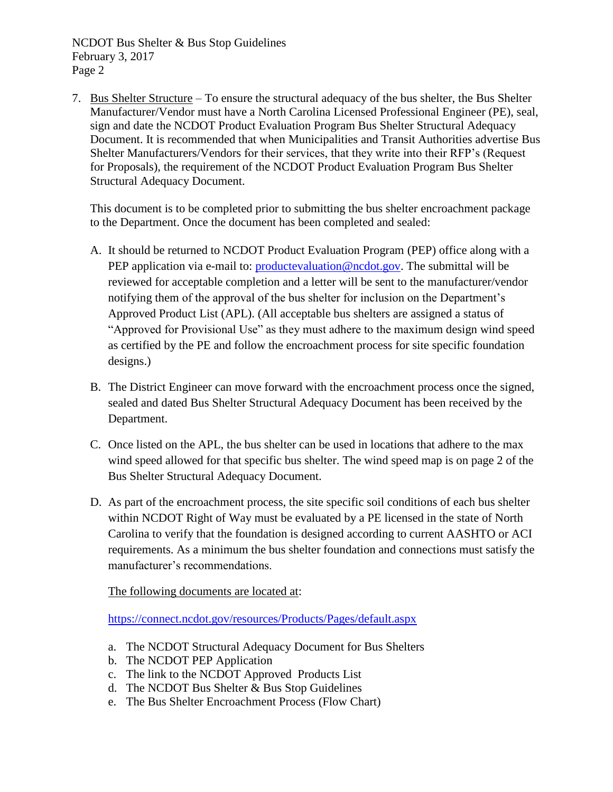NCDOT Bus Shelter & Bus Stop Guidelines February 3, 2017 Page 2

7. Bus Shelter Structure – To ensure the structural adequacy of the bus shelter, the Bus Shelter Manufacturer/Vendor must have a North Carolina Licensed Professional Engineer (PE), seal, sign and date the NCDOT Product Evaluation Program Bus Shelter Structural Adequacy Document. It is recommended that when Municipalities and Transit Authorities advertise Bus Shelter Manufacturers/Vendors for their services, that they write into their RFP's (Request for Proposals), the requirement of the NCDOT Product Evaluation Program Bus Shelter Structural Adequacy Document.

This document is to be completed prior to submitting the bus shelter encroachment package to the Department. Once the document has been completed and sealed:

- A. It should be returned to NCDOT Product Evaluation Program (PEP) office along with a PEP application via e-mail to: [productevaluation@ncdot.gov.](mailto:productevaluation@ncdot.gov) The submittal will be reviewed for acceptable completion and a letter will be sent to the manufacturer/vendor notifying them of the approval of the bus shelter for inclusion on the Department's Approved Product List (APL). (All acceptable bus shelters are assigned a status of "Approved for Provisional Use" as they must adhere to the maximum design wind speed as certified by the PE and follow the encroachment process for site specific foundation designs.)
- B. The District Engineer can move forward with the encroachment process once the signed, sealed and dated Bus Shelter Structural Adequacy Document has been received by the Department.
- C. Once listed on the APL, the bus shelter can be used in locations that adhere to the max wind speed allowed for that specific bus shelter. The wind speed map is on page 2 of the Bus Shelter Structural Adequacy Document.
- D. As part of the encroachment process, the site specific soil conditions of each bus shelter within NCDOT Right of Way must be evaluated by a PE licensed in the state of North Carolina to verify that the foundation is designed according to current AASHTO or ACI requirements. As a minimum the bus shelter foundation and connections must satisfy the manufacturer's recommendations.

The following documents are located at:

<https://connect.ncdot.gov/resources/Products/Pages/default.aspx>

- a. The NCDOT Structural Adequacy Document for Bus Shelters
- b. The NCDOT PEP Application
- c. The link to the NCDOT Approved Products List
- d. The NCDOT Bus Shelter & Bus Stop Guidelines
- e. The Bus Shelter Encroachment Process (Flow Chart)